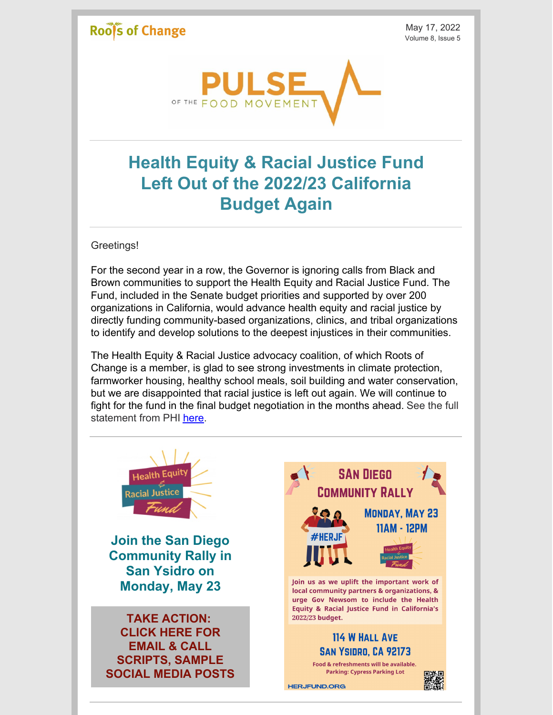### **Rools of Change**

May 17, 2022 Volume 8, Issue 5



# **Health Equity & Racial Justice Fund Left Out of the 2022/23 California Budget Again**

Greetings!

For the second year in a row, the Governor is ignoring calls from Black and Brown communities to support the Health Equity and Racial Justice Fund. The Fund, included in the Senate budget priorities and supported by over 200 organizations in California, would advance health equity and racial justice by directly funding community-based organizations, clinics, and tribal organizations to identify and develop solutions to the deepest injustices in their communities.

The Health Equity & Racial Justice advocacy coalition, of which Roots of Change is a member, is glad to see strong investments in climate protection, farmworker housing, healthy school meals, soil building and water conservation, but we are disappointed that racial justice is left out again. We will continue to fight for the fund in the final budget negotiation in the months ahead. See the full statement from PHI [here.](https://www.phi.org/press/health-equity-and-racial-justice-fund-co-sponsors-express-outrage-at-lack-of-racial-justice-funding/)

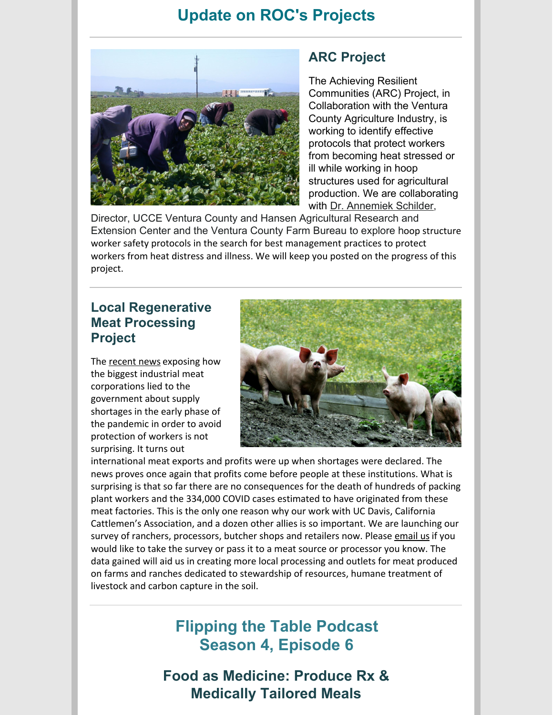### **Update on ROC's Projects**



#### **ARC Project**

The Achieving Resilient Communities (ARC) Project, in Collaboration with the Ventura County Agriculture Industry, is working to identify effective protocols that protect workers from becoming heat stressed or ill while working in hoop structures used for agricultural production. We are collaborating with Dr. [Annemiek](https://ceventura.ucanr.edu/Staff/?facultyid=39825) Schilder,

Director, UCCE Ventura County and Hansen Agricultural Research and Extension Center and the Ventura County Farm Bureau to explore hoop structure worker safety protocols in the search for best management practices to protect workers from heat distress and illness. We will keep you posted on the progress of this project.

#### **Local Regenerative Meat Processing Project**

The [recent](https://www.washingtonpost.com/business/2022/05/12/meatpackers-covid-deaths-trump-industry/) news exposing how the biggest industrial meat corporations lied to the government about supply shortages in the early phase of the pandemic in order to avoid protection of workers is not surprising. It turns out



international meat exports and profits were up when shortages were declared. The news proves once again that profits come before people at these institutions. What is surprising is that so far there are no consequences for the death of hundreds of packing plant workers and the 334,000 COVID cases estimated to have originated from these meat factories. This is the only one reason why our work with UC Davis, California Cattlemen's Association, and a dozen other allies is so important. We are launching our survey of ranchers, processors, butcher shops and retailers now. Please [email](mailto:mail@rootsofchange.org) us if you would like to take the survey or pass it to a meat source or processor you know. The data gained will aid us in creating more local processing and outlets for meat produced on farms and ranches dedicated to stewardship of resources, humane treatment of livestock and carbon capture in the soil.

## **Flipping the Table Podcast Season 4, Episode 6**

**Food as Medicine: Produce Rx & Medically Tailored Meals**